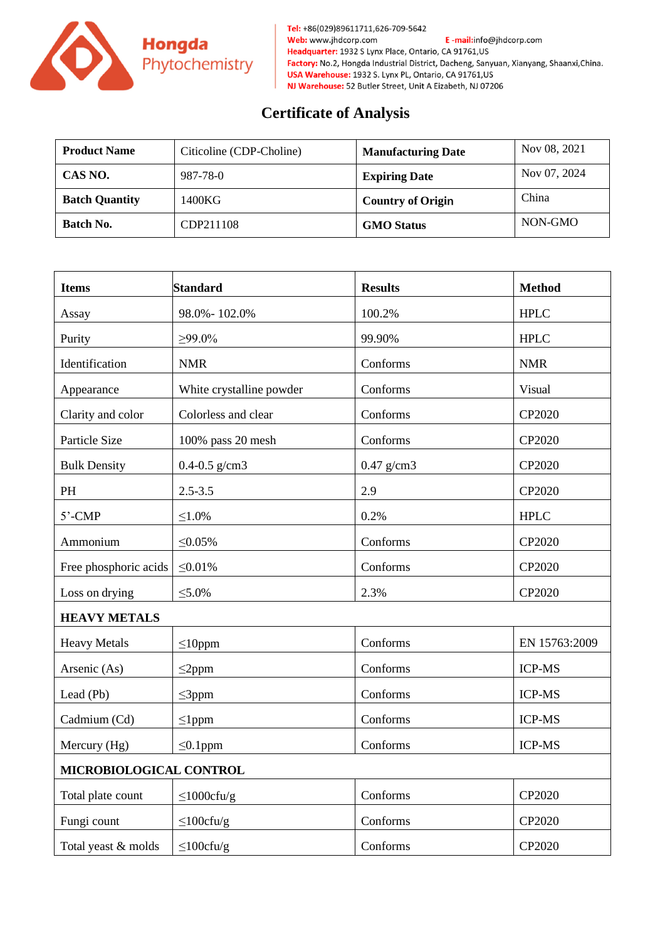

Tel: +86(029)89611711,626-709-5642 Web: www.jhdcorp.com E-mail:info@jhdcorp.com Headquarter: 1932 S Lynx Place, Ontario, CA 91761, US Factory: No.2, Hongda Industrial District, Dacheng, Sanyuan, Xianyang, Shaanxi, China. USA Warehouse: 1932 S. Lynx PL, Ontario, CA 91761, US NJ Warehouse: 52 Butler Street, Unit A Eizabeth, NJ 07206

## **Certificate of Analysis**

| <b>Product Name</b>   | Citicoline (CDP-Choline) | <b>Manufacturing Date</b> | Nov 08, 2021 |
|-----------------------|--------------------------|---------------------------|--------------|
| CAS NO.               | 987-78-0                 | <b>Expiring Date</b>      | Nov 07, 2024 |
| <b>Batch Quantity</b> | 1400KG                   | <b>Country of Origin</b>  | China        |
| Batch No.             | CDP211108                | <b>GMO Status</b>         | NON-GMO      |

| <b>Items</b>            | <b>Standard</b>          | <b>Results</b> | <b>Method</b> |  |
|-------------------------|--------------------------|----------------|---------------|--|
| Assay                   | 98.0% - 102.0%           | 100.2%         | <b>HPLC</b>   |  |
| Purity                  | $\geq 99.0\%$            | 99.90%         | <b>HPLC</b>   |  |
| Identification          | <b>NMR</b>               | Conforms       | <b>NMR</b>    |  |
| Appearance              | White crystalline powder | Conforms       | Visual        |  |
| Clarity and color       | Colorless and clear      | Conforms       | CP2020        |  |
| Particle Size           | 100% pass 20 mesh        | Conforms       | CP2020        |  |
| <b>Bulk Density</b>     | $0.4 - 0.5$ g/cm3        | $0.47$ g/cm3   | CP2020        |  |
| PH                      | $2.5 - 3.5$              | 2.9            | CP2020        |  |
| $5'$ -CMP               | ≤1.0%                    | 0.2%           | <b>HPLC</b>   |  |
| Ammonium                | $\leq 0.05\%$            | Conforms       | CP2020        |  |
| Free phosphoric acids   | $\leq 0.01\%$            | Conforms       | CP2020        |  |
| Loss on drying          | $\leq 5.0\%$             | 2.3%           | CP2020        |  |
| <b>HEAVY METALS</b>     |                          |                |               |  |
| <b>Heavy Metals</b>     | $\leq$ 10ppm             | Conforms       | EN 15763:2009 |  |
| Arsenic (As)            | $\leq$ 2ppm              | Conforms       | <b>ICP-MS</b> |  |
| Lead (Pb)               | $\leq$ 3ppm              | Conforms       | <b>ICP-MS</b> |  |
| Cadmium (Cd)            | $\leq$ 1ppm              | Conforms       | <b>ICP-MS</b> |  |
| Mercury (Hg)            | $\leq 0.1$ ppm           | Conforms       | <b>ICP-MS</b> |  |
| MICROBIOLOGICAL CONTROL |                          |                |               |  |
| Total plate count       | $\leq$ 1000cfu/g         | Conforms       | CP2020        |  |
| Fungi count             | $\leq$ 100cfu/g          | Conforms       | CP2020        |  |
| Total yeast & molds     | $\leq 100$ cfu/g         | Conforms       | CP2020        |  |